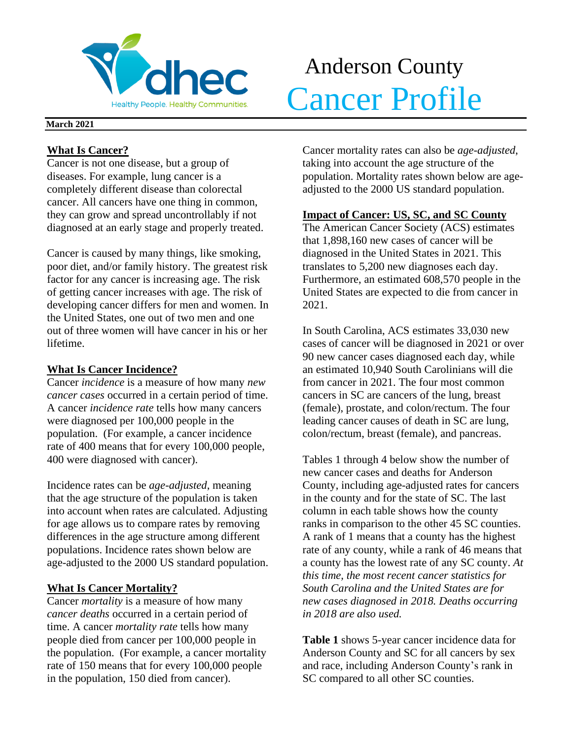

# Anderson County **Volhec** Antenation County

## **March 2021**

## **What Is Cancer?**

Cancer is not one disease, but a group of diseases. For example, lung cancer is a completely different disease than colorectal cancer. All cancers have one thing in common, they can grow and spread uncontrollably if not diagnosed at an early stage and properly treated.

Cancer is caused by many things, like smoking, poor diet, and/or family history. The greatest risk factor for any cancer is increasing age. The risk of getting cancer increases with age. The risk of developing cancer differs for men and women. In the United States, one out of two men and one out of three women will have cancer in his or her lifetime.

## **What Is Cancer Incidence?**

Cancer *incidence* is a measure of how many *new cancer cases* occurred in a certain period of time. A cancer *incidence rate* tells how many cancers were diagnosed per 100,000 people in the population. (For example, a cancer incidence rate of 400 means that for every 100,000 people, 400 were diagnosed with cancer).

Incidence rates can be *age-adjusted*, meaning that the age structure of the population is taken into account when rates are calculated. Adjusting for age allows us to compare rates by removing differences in the age structure among different populations. Incidence rates shown below are age-adjusted to the 2000 US standard population.

# **What Is Cancer Mortality?**

Cancer *mortality* is a measure of how many *cancer deaths* occurred in a certain period of time. A cancer *mortality rate* tells how many people died from cancer per 100,000 people in the population. (For example, a cancer mortality rate of 150 means that for every 100,000 people in the population, 150 died from cancer).

Cancer mortality rates can also be *age-adjusted*, taking into account the age structure of the population. Mortality rates shown below are ageadjusted to the 2000 US standard population.

## **Impact of Cancer: US, SC, and SC County**

The American Cancer Society (ACS) estimates that 1,898,160 new cases of cancer will be diagnosed in the United States in 2021. This translates to 5,200 new diagnoses each day. Furthermore, an estimated 608,570 people in the United States are expected to die from cancer in 2021.

In South Carolina, ACS estimates 33,030 new cases of cancer will be diagnosed in 2021 or over 90 new cancer cases diagnosed each day, while an estimated 10,940 South Carolinians will die from cancer in 2021. The four most common cancers in SC are cancers of the lung, breast (female), prostate, and colon/rectum. The four leading cancer causes of death in SC are lung, colon/rectum, breast (female), and pancreas.

Tables 1 through 4 below show the number of new cancer cases and deaths for Anderson County, including age-adjusted rates for cancers in the county and for the state of SC. The last column in each table shows how the county ranks in comparison to the other 45 SC counties. A rank of 1 means that a county has the highest rate of any county, while a rank of 46 means that a county has the lowest rate of any SC county. *At this time, the most recent cancer statistics for South Carolina and the United States are for new cases diagnosed in 2018. Deaths occurring in 2018 are also used.*

**Table 1** shows 5-year cancer incidence data for Anderson County and SC for all cancers by sex and race, including Anderson County's rank in SC compared to all other SC counties.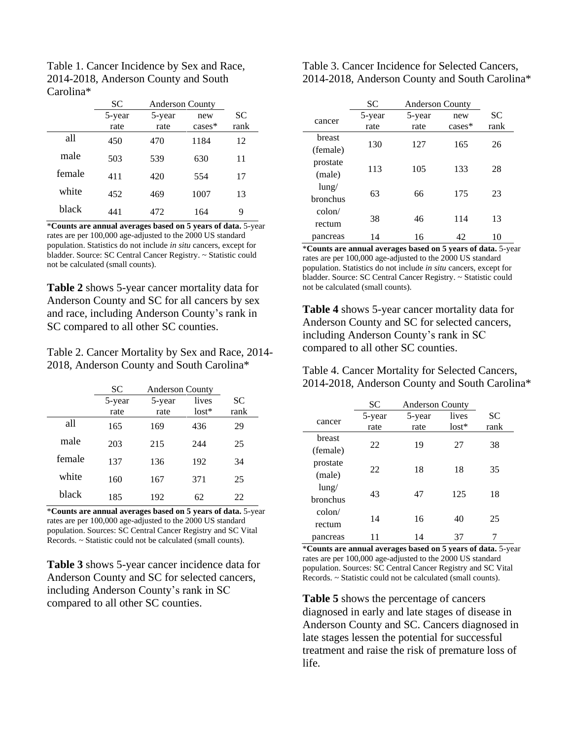| Table 1. Cancer Incidence by Sex and Race, |
|--------------------------------------------|
| 2014-2018, Anderson County and South       |
| Carolina*                                  |

|        | <b>SC</b> | <b>Anderson County</b> |           |           |
|--------|-----------|------------------------|-----------|-----------|
|        | 5-year    | 5-year                 | new       | <b>SC</b> |
|        | rate      | rate                   | $cases^*$ | rank      |
| all    | 450       | 470                    | 1184      | 12        |
| male   | 503       | 539                    | 630       | 11        |
| female | 411       | 420                    | 554       | 17        |
| white  | 452       | 469                    | 1007      | 13        |
| black  | 441       | 472                    | 164       | 9         |

\***Counts are annual averages based on 5 years of data.** 5-year rates are per 100,000 age-adjusted to the 2000 US standard population. Statistics do not include *in situ* cancers, except for bladder. Source: SC Central Cancer Registry. ~ Statistic could not be calculated (small counts).

**Table 2** shows 5-year cancer mortality data for Anderson County and SC for all cancers by sex and race, including Anderson County's rank in SC compared to all other SC counties.

Table 2. Cancer Mortality by Sex and Race, 2014- 2018, Anderson County and South Carolina\*

|        | <b>SC</b> | <b>Anderson County</b> |         |      |
|--------|-----------|------------------------|---------|------|
|        | 5-year    | 5-year                 | lives   | SС   |
|        | rate      | rate                   | $lost*$ | rank |
| all    | 165       | 169                    | 436     | 29   |
| male   | 203       | 215                    | 244     | 25   |
| female | 137       | 136                    | 192     | 34   |
| white  | 160       | 167                    | 371     | 25   |
| black  | 185       | 192                    | 62      | 22   |

\***Counts are annual averages based on 5 years of data.** 5-year rates are per 100,000 age-adjusted to the 2000 US standard population. Sources: SC Central Cancer Registry and SC Vital Records. ~ Statistic could not be calculated (small counts).

**Table 3** shows 5-year cancer incidence data for Anderson County and SC for selected cancers, including Anderson County's rank in SC compared to all other SC counties.

Table 3. Cancer Incidence for Selected Cancers, 2014-2018, Anderson County and South Carolina\*

|                 | SС     | <b>Anderson County</b> |          |           |
|-----------------|--------|------------------------|----------|-----------|
| cancer          | 5-year | 5-year                 | new      | <b>SC</b> |
|                 | rate   | rate                   | $cases*$ | rank      |
| breast          |        |                        |          |           |
| (female)        | 130    | 127                    | 165      | 26        |
| prostate        |        | 105                    |          |           |
| (male)          | 113    |                        | 133      | 28        |
| $l$ ung/        |        |                        |          |           |
| <b>bronchus</b> | 63     | 66                     | 175      | 23        |
| $\text{colon}/$ |        |                        |          |           |
| rectum          | 38     | 46                     | 114      | 13        |
| pancreas        | 14     | 16                     | 42       | 10        |

\***Counts are annual averages based on 5 years of data.** 5-year rates are per 100,000 age-adjusted to the 2000 US standard population. Statistics do not include *in situ* cancers, except for bladder. Source: SC Central Cancer Registry. ~ Statistic could not be calculated (small counts).

**Table 4** shows 5-year cancer mortality data for Anderson County and SC for selected cancers, including Anderson County's rank in SC compared to all other SC counties.

Table 4. Cancer Mortality for Selected Cancers, 2014-2018, Anderson County and South Carolina\*

|                 | SС     | <b>Anderson County</b> |         |      |
|-----------------|--------|------------------------|---------|------|
| cancer          | 5-year | 5-year                 | lives   | SС   |
|                 | rate   | rate                   | $lost*$ | rank |
| breast          | 22     | 19                     | 27      | 38   |
| (female)        |        |                        |         |      |
| prostate        | 22     | 18                     | 18      | 35   |
| (male)          |        |                        |         |      |
| $l$ ung/        | 43     | 47                     | 125     | 18   |
| <b>bronchus</b> |        |                        |         |      |
| $\text{colon}/$ | 14     | 16                     | 40      | 25   |
| rectum          |        |                        |         |      |
| pancreas        | 11     | 14                     | 37      |      |

\***Counts are annual averages based on 5 years of data.** 5-year rates are per 100,000 age-adjusted to the 2000 US standard population. Sources: SC Central Cancer Registry and SC Vital Records. ~ Statistic could not be calculated (small counts).

**Table 5** shows the percentage of cancers diagnosed in early and late stages of disease in Anderson County and SC. Cancers diagnosed in late stages lessen the potential for successful treatment and raise the risk of premature loss of life.